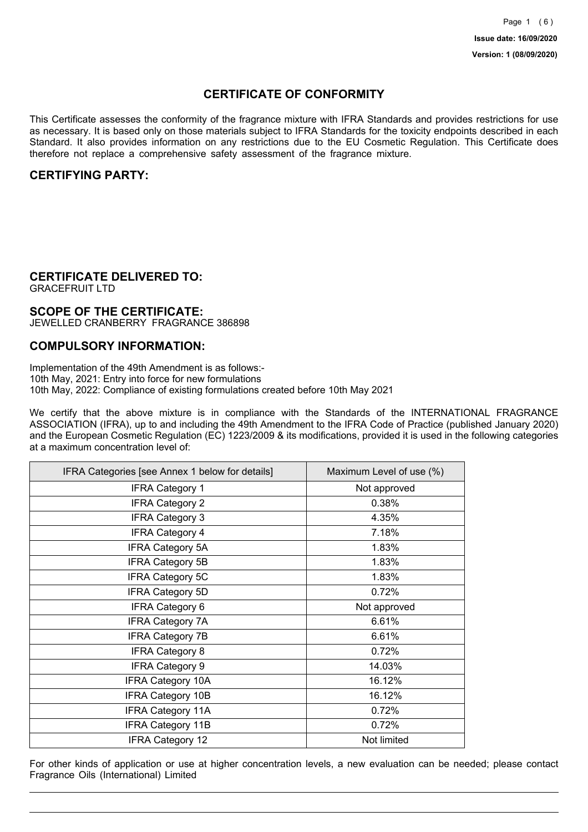## **CERTIFICATE OF CONFORMITY**

This Certificate assesses the conformity of the fragrance mixture with IFRA Standards and provides restrictions for use as necessary. It is based only on those materials subject to IFRA Standards for the toxicity endpoints described in each Standard. It also provides information on any restrictions due to the EU Cosmetic Regulation. This Certificate does therefore not replace a comprehensive safety assessment of the fragrance mixture.

## **CERTIFYING PARTY:**

## **CERTIFICATE DELIVERED TO:**

GRACEFRUIT LTD

### **SCOPE OF THE CERTIFICATE:**

JEWELLED CRANBERRY FRAGRANCE 386898

### **COMPULSORY INFORMATION:**

Implementation of the 49th Amendment is as follows:- 10th May, 2021: Entry into force for new formulations 10th May, 2022: Compliance of existing formulations created before 10th May 2021

We certify that the above mixture is in compliance with the Standards of the INTERNATIONAL FRAGRANCE ASSOCIATION (IFRA), up to and including the 49th Amendment to the IFRA Code of Practice (published January 2020) and the European Cosmetic Regulation (EC) 1223/2009 & its modifications, provided it is used in the following categories at a maximum concentration level of:

| IFRA Categories [see Annex 1 below for details] | Maximum Level of use (%) |
|-------------------------------------------------|--------------------------|
| <b>IFRA Category 1</b>                          | Not approved             |
| <b>IFRA Category 2</b>                          | 0.38%                    |
| <b>IFRA Category 3</b>                          | 4.35%                    |
| <b>IFRA Category 4</b>                          | 7.18%                    |
| <b>IFRA Category 5A</b>                         | 1.83%                    |
| <b>IFRA Category 5B</b>                         | 1.83%                    |
| <b>IFRA Category 5C</b>                         | 1.83%                    |
| <b>IFRA Category 5D</b>                         | 0.72%                    |
| <b>IFRA Category 6</b>                          | Not approved             |
| <b>IFRA Category 7A</b>                         | 6.61%                    |
| <b>IFRA Category 7B</b>                         | 6.61%                    |
| <b>IFRA Category 8</b>                          | 0.72%                    |
| <b>IFRA Category 9</b>                          | 14.03%                   |
| <b>IFRA Category 10A</b>                        | 16.12%                   |
| <b>IFRA Category 10B</b>                        | 16.12%                   |
| <b>IFRA Category 11A</b>                        | 0.72%                    |
| <b>IFRA Category 11B</b>                        | 0.72%                    |
| <b>IFRA Category 12</b>                         | Not limited              |

For other kinds of application or use at higher concentration levels, a new evaluation can be needed; please contact Fragrance Oils (International) Limited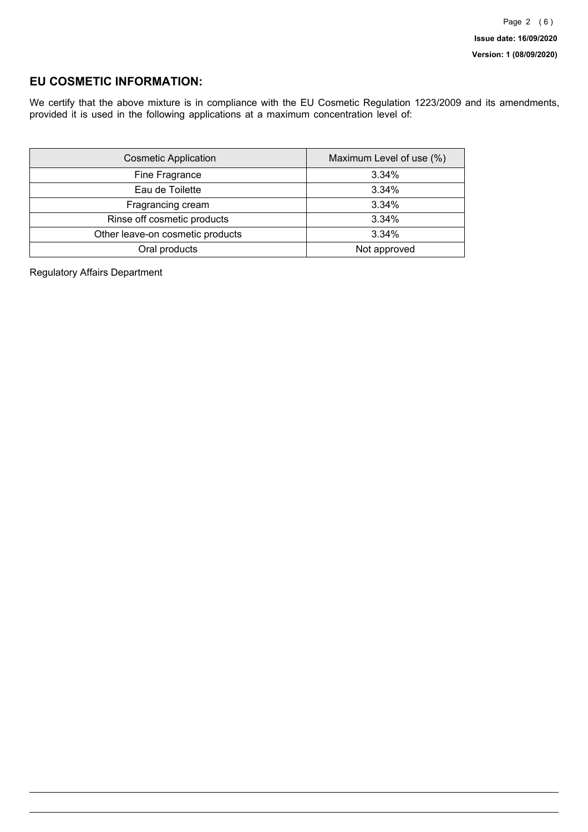## **EU COSMETIC INFORMATION:**

We certify that the above mixture is in compliance with the EU Cosmetic Regulation 1223/2009 and its amendments, provided it is used in the following applications at a maximum concentration level of:

| <b>Cosmetic Application</b>      | Maximum Level of use (%) |
|----------------------------------|--------------------------|
| Fine Fragrance                   | 3.34%                    |
| Eau de Toilette                  | 3.34%                    |
| Fragrancing cream                | 3.34%                    |
| Rinse off cosmetic products      | 3.34%                    |
| Other leave-on cosmetic products | 3.34%                    |
| Oral products                    | Not approved             |

Regulatory Affairs Department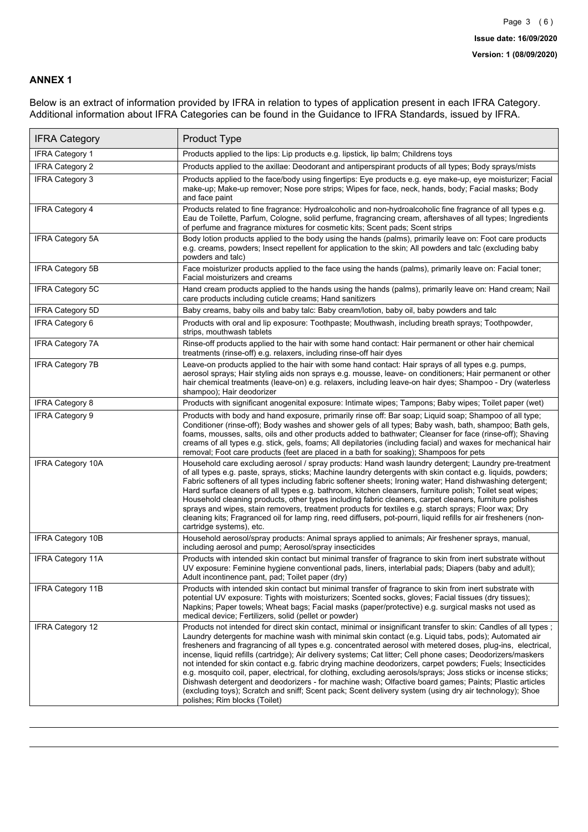### **ANNEX 1**

Below is an extract of information provided by IFRA in relation to types of application present in each IFRA Category. Additional information about IFRA Categories can be found in the Guidance to IFRA Standards, issued by IFRA.

| <b>IFRA Category</b>     | Product Type                                                                                                                                                                                                                                                                                                                                                                                                                                                                                                                                                                                                                                                                                                                                                                                                                                                                                                                                 |
|--------------------------|----------------------------------------------------------------------------------------------------------------------------------------------------------------------------------------------------------------------------------------------------------------------------------------------------------------------------------------------------------------------------------------------------------------------------------------------------------------------------------------------------------------------------------------------------------------------------------------------------------------------------------------------------------------------------------------------------------------------------------------------------------------------------------------------------------------------------------------------------------------------------------------------------------------------------------------------|
| IFRA Category 1          | Products applied to the lips: Lip products e.g. lipstick, lip balm; Childrens toys                                                                                                                                                                                                                                                                                                                                                                                                                                                                                                                                                                                                                                                                                                                                                                                                                                                           |
| <b>IFRA Category 2</b>   | Products applied to the axillae: Deodorant and antiperspirant products of all types; Body sprays/mists                                                                                                                                                                                                                                                                                                                                                                                                                                                                                                                                                                                                                                                                                                                                                                                                                                       |
| <b>IFRA Category 3</b>   | Products applied to the face/body using fingertips: Eye products e.g. eye make-up, eye moisturizer; Facial<br>make-up; Make-up remover; Nose pore strips; Wipes for face, neck, hands, body; Facial masks; Body<br>and face paint                                                                                                                                                                                                                                                                                                                                                                                                                                                                                                                                                                                                                                                                                                            |
| <b>IFRA Category 4</b>   | Products related to fine fragrance: Hydroalcoholic and non-hydroalcoholic fine fragrance of all types e.g.<br>Eau de Toilette, Parfum, Cologne, solid perfume, fragrancing cream, aftershaves of all types; Ingredients<br>of perfume and fragrance mixtures for cosmetic kits; Scent pads; Scent strips                                                                                                                                                                                                                                                                                                                                                                                                                                                                                                                                                                                                                                     |
| <b>IFRA Category 5A</b>  | Body lotion products applied to the body using the hands (palms), primarily leave on: Foot care products<br>e.g. creams, powders; Insect repellent for application to the skin; All powders and talc (excluding baby<br>powders and talc)                                                                                                                                                                                                                                                                                                                                                                                                                                                                                                                                                                                                                                                                                                    |
| IFRA Category 5B         | Face moisturizer products applied to the face using the hands (palms), primarily leave on: Facial toner;<br>Facial moisturizers and creams                                                                                                                                                                                                                                                                                                                                                                                                                                                                                                                                                                                                                                                                                                                                                                                                   |
| <b>IFRA Category 5C</b>  | Hand cream products applied to the hands using the hands (palms), primarily leave on: Hand cream; Nail<br>care products including cuticle creams; Hand sanitizers                                                                                                                                                                                                                                                                                                                                                                                                                                                                                                                                                                                                                                                                                                                                                                            |
| <b>IFRA Category 5D</b>  | Baby creams, baby oils and baby talc: Baby cream/lotion, baby oil, baby powders and talc                                                                                                                                                                                                                                                                                                                                                                                                                                                                                                                                                                                                                                                                                                                                                                                                                                                     |
| IFRA Category 6          | Products with oral and lip exposure: Toothpaste; Mouthwash, including breath sprays; Toothpowder,<br>strips, mouthwash tablets                                                                                                                                                                                                                                                                                                                                                                                                                                                                                                                                                                                                                                                                                                                                                                                                               |
| <b>IFRA Category 7A</b>  | Rinse-off products applied to the hair with some hand contact: Hair permanent or other hair chemical<br>treatments (rinse-off) e.g. relaxers, including rinse-off hair dyes                                                                                                                                                                                                                                                                                                                                                                                                                                                                                                                                                                                                                                                                                                                                                                  |
| <b>IFRA Category 7B</b>  | Leave-on products applied to the hair with some hand contact: Hair sprays of all types e.g. pumps,<br>aerosol sprays; Hair styling aids non sprays e.g. mousse, leave- on conditioners; Hair permanent or other<br>hair chemical treatments (leave-on) e.g. relaxers, including leave-on hair dyes; Shampoo - Dry (waterless<br>shampoo); Hair deodorizer                                                                                                                                                                                                                                                                                                                                                                                                                                                                                                                                                                                    |
| <b>IFRA Category 8</b>   | Products with significant anogenital exposure: Intimate wipes; Tampons; Baby wipes; Toilet paper (wet)                                                                                                                                                                                                                                                                                                                                                                                                                                                                                                                                                                                                                                                                                                                                                                                                                                       |
| IFRA Category 9          | Products with body and hand exposure, primarily rinse off: Bar soap; Liquid soap; Shampoo of all type;<br>Conditioner (rinse-off); Body washes and shower gels of all types; Baby wash, bath, shampoo; Bath gels,<br>foams, mousses, salts, oils and other products added to bathwater; Cleanser for face (rinse-off); Shaving<br>creams of all types e.g. stick, gels, foams; All depilatories (including facial) and waxes for mechanical hair<br>removal; Foot care products (feet are placed in a bath for soaking); Shampoos for pets                                                                                                                                                                                                                                                                                                                                                                                                   |
| <b>IFRA Category 10A</b> | Household care excluding aerosol / spray products: Hand wash laundry detergent; Laundry pre-treatment<br>of all types e.g. paste, sprays, sticks; Machine laundry detergents with skin contact e.g. liquids, powders;<br>Fabric softeners of all types including fabric softener sheets; Ironing water; Hand dishwashing detergent;<br>Hard surface cleaners of all types e.g. bathroom, kitchen cleansers, furniture polish; Toilet seat wipes;<br>Household cleaning products, other types including fabric cleaners, carpet cleaners, furniture polishes<br>sprays and wipes, stain removers, treatment products for textiles e.g. starch sprays; Floor wax; Dry<br>cleaning kits; Fragranced oil for lamp ring, reed diffusers, pot-pourri, liquid refills for air fresheners (non-<br>cartridge systems), etc.                                                                                                                          |
| <b>IFRA Category 10B</b> | Household aerosol/spray products: Animal sprays applied to animals; Air freshener sprays, manual,<br>including aerosol and pump; Aerosol/spray insecticides                                                                                                                                                                                                                                                                                                                                                                                                                                                                                                                                                                                                                                                                                                                                                                                  |
| <b>IFRA Category 11A</b> | Products with intended skin contact but minimal transfer of fragrance to skin from inert substrate without<br>UV exposure: Feminine hygiene conventional pads, liners, interlabial pads; Diapers (baby and adult);<br>Adult incontinence pant, pad; Toilet paper (dry)                                                                                                                                                                                                                                                                                                                                                                                                                                                                                                                                                                                                                                                                       |
| <b>IFRA Category 11B</b> | Products with intended skin contact but minimal transfer of fragrance to skin from inert substrate with<br>potential UV exposure: Tights with moisturizers; Scented socks, gloves; Facial tissues (dry tissues);<br>Napkins; Paper towels; Wheat bags; Facial masks (paper/protective) e.g. surgical masks not used as<br>medical device; Fertilizers, solid (pellet or powder)                                                                                                                                                                                                                                                                                                                                                                                                                                                                                                                                                              |
| <b>IFRA Category 12</b>  | Products not intended for direct skin contact, minimal or insignificant transfer to skin: Candles of all types;<br>Laundry detergents for machine wash with minimal skin contact (e.g. Liquid tabs, pods); Automated air<br>fresheners and fragrancing of all types e.g. concentrated aerosol with metered doses, plug-ins, electrical,<br>incense, liquid refills (cartridge); Air delivery systems; Cat litter; Cell phone cases; Deodorizers/maskers<br>not intended for skin contact e.g. fabric drying machine deodorizers, carpet powders; Fuels; Insecticides<br>e.g. mosquito coil, paper, electrical, for clothing, excluding aerosols/sprays; Joss sticks or incense sticks;<br>Dishwash detergent and deodorizers - for machine wash; Olfactive board games; Paints; Plastic articles<br>(excluding toys); Scratch and sniff; Scent pack; Scent delivery system (using dry air technology); Shoe<br>polishes; Rim blocks (Toilet) |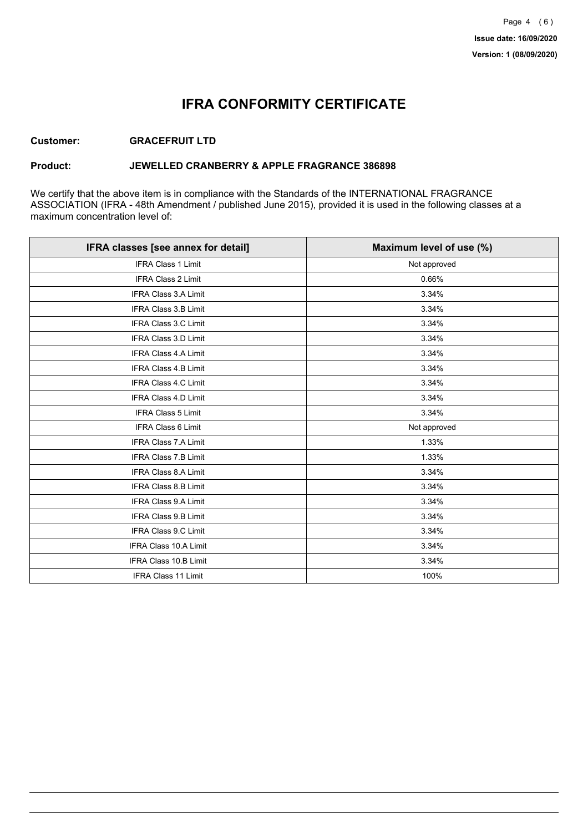## **IFRA CONFORMITY CERTIFICATE**

### **Customer: GRACEFRUIT LTD**

### **Product: JEWELLED CRANBERRY & APPLE FRAGRANCE 386898**

We certify that the above item is in compliance with the Standards of the INTERNATIONAL FRAGRANCE ASSOCIATION (IFRA - 48th Amendment / published June 2015), provided it is used in the following classes at a maximum concentration level of:

| IFRA classes [see annex for detail] | Maximum level of use (%) |
|-------------------------------------|--------------------------|
| <b>IFRA Class 1 Limit</b>           | Not approved             |
| IFRA Class 2 Limit                  | 0.66%                    |
| <b>IFRA Class 3.A Limit</b>         | 3.34%                    |
| IFRA Class 3.B Limit                | 3.34%                    |
| <b>IFRA Class 3.C Limit</b>         | 3.34%                    |
| IFRA Class 3.D Limit                | 3.34%                    |
| IFRA Class 4.A Limit                | 3.34%                    |
| <b>IFRA Class 4.B Limit</b>         | 3.34%                    |
| <b>IFRA Class 4.C Limit</b>         | 3.34%                    |
| <b>IFRA Class 4.D Limit</b>         | 3.34%                    |
| <b>IFRA Class 5 Limit</b>           | 3.34%                    |
| IFRA Class 6 Limit                  | Not approved             |
| <b>IFRA Class 7.A Limit</b>         | 1.33%                    |
| <b>IFRA Class 7.B Limit</b>         | 1.33%                    |
| <b>IFRA Class 8.A Limit</b>         | 3.34%                    |
| IFRA Class 8.B Limit                | 3.34%                    |
| IFRA Class 9.A Limit                | 3.34%                    |
| <b>IFRA Class 9.B Limit</b>         | 3.34%                    |
| IFRA Class 9.C Limit                | 3.34%                    |
| IFRA Class 10.A Limit               | 3.34%                    |
| IFRA Class 10.B Limit               | 3.34%                    |
| <b>IFRA Class 11 Limit</b>          | 100%                     |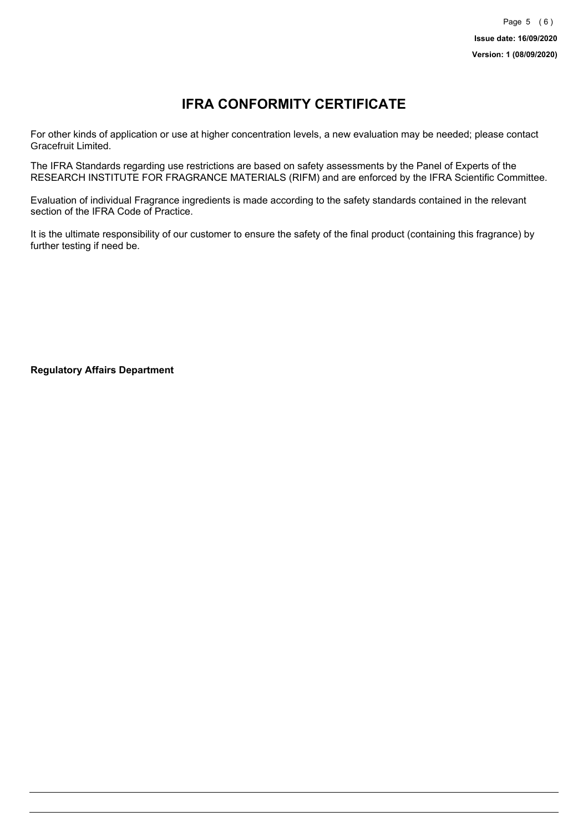# **IFRA CONFORMITY CERTIFICATE**

For other kinds of application or use at higher concentration levels, a new evaluation may be needed; please contact Gracefruit Limited.

The IFRA Standards regarding use restrictions are based on safety assessments by the Panel of Experts of the RESEARCH INSTITUTE FOR FRAGRANCE MATERIALS (RIFM) and are enforced by the IFRA Scientific Committee.

Evaluation of individual Fragrance ingredients is made according to the safety standards contained in the relevant section of the IFRA Code of Practice.

It is the ultimate responsibility of our customer to ensure the safety of the final product (containing this fragrance) by further testing if need be.

**Regulatory Affairs Department**